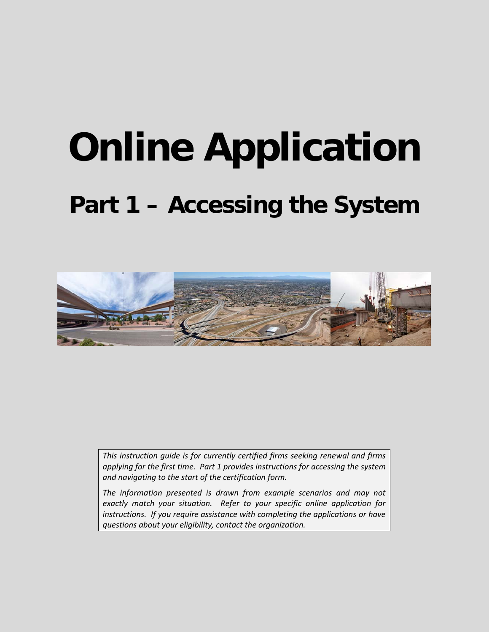# **Online Application Part 1 – Accessing the System**



*This instruction guide is for currently certified firms seeking renewal and firms applying for the first time. Part 1 provides instructions for accessing the system and navigating to the start of the certification form.* 

*The information presented is drawn from example scenarios and may not exactly match your situation. Refer to your specific online application for instructions. If you require assistance with completing the applications or have questions about your eligibility, contact the organization.*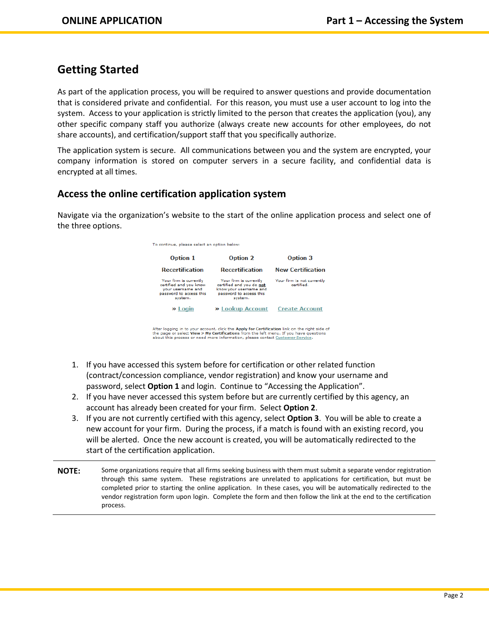# **Getting Started**

As part of the application process, you will be required to answer questions and provide documentation that is considered private and confidential. For this reason, you must use a user account to log into the system. Access to your application is strictly limited to the person that creates the application (you), any other specific company staff you authorize (always create new accounts for other employees, do not share accounts), and certification/support staff that you specifically authorize.

The application system is secure. All communications between you and the system are encrypted, your company information is stored on computer servers in a secure facility, and confidential data is encrypted at all times.

## **Access the online certification application system**

Navigate via the organization's website to the start of the online application process and select one of the three options.

| To continue, please select an option below:                                                                 |                                                                                                                    |                                          |  |
|-------------------------------------------------------------------------------------------------------------|--------------------------------------------------------------------------------------------------------------------|------------------------------------------|--|
| <b>Option 1</b>                                                                                             | <b>Option 2</b>                                                                                                    | <b>Option 3</b>                          |  |
| <b>Recertification</b>                                                                                      | <b>Recertification</b>                                                                                             | <b>New Certification</b>                 |  |
| Your firm is currently<br>certified and you know<br>vour username and<br>password to access this<br>system. | Your firm is currently<br>certified and you do not<br>know your username and<br>password to access this<br>system. | Your firm is not currently<br>certified. |  |
| » Login                                                                                                     | » Lookup Account                                                                                                   | <b>Create Account</b>                    |  |

After logging in to your account, click the **Apply for Certification** link on the right side of<br>the page or select **View > My Certifications** from the left menu. If you have questions<br>about this process or need more inform

- 1. If you have accessed this system before for certification or other related function (contract/concession compliance, vendor registration) and know your username and password, select **Option 1** and login. Continue to "Accessing the Application".
- 2. If you have never accessed this system before but are currently certified by this agency, an account has already been created for your firm. Select **Option 2**.
- 3. If you are not currently certified with this agency, select **Option 3**. You will be able to create a new account for your firm. During the process, if a match is found with an existing record, you will be alerted. Once the new account is created, you will be automatically redirected to the start of the certification application.
- **NOTE:** Some organizations require that all firms seeking business with them must submit a separate vendor registration through this same system. These registrations are unrelated to applications for certification, but must be completed prior to starting the online application. In these cases, you will be automatically redirected to the vendor registration form upon login. Complete the form and then follow the link at the end to the certification process.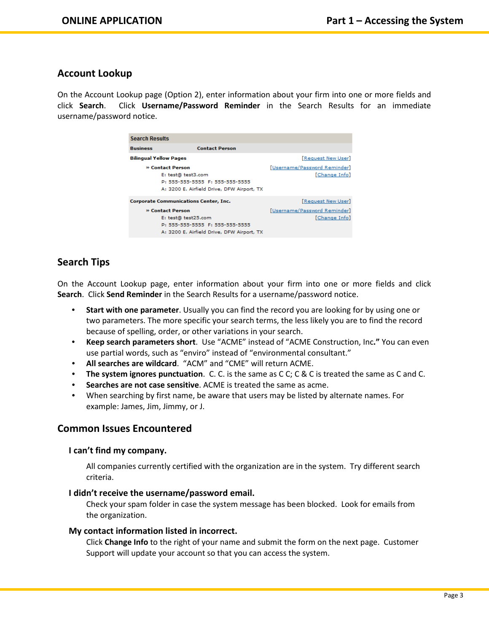### **Account Lookup**

On the Account Lookup page (Option 2), enter information about your firm into one or more fields and click **Search**. Click **Username/Password Reminder** in the Search Results for an immediate username/password notice.

| <b>Search Results</b>                                                                                                   |                                                                                                                          |                                               |  |
|-------------------------------------------------------------------------------------------------------------------------|--------------------------------------------------------------------------------------------------------------------------|-----------------------------------------------|--|
| <b>Business</b>                                                                                                         | <b>Contact Person</b>                                                                                                    |                                               |  |
| <b>Bilingual Yellow Pages</b>                                                                                           |                                                                                                                          | [Request New User]                            |  |
| » Contact Person<br>E: test@ test3.com<br>P: 555-555-5555 F: 555-555-5555<br>A: 3200 E. Airfield Drive, DFW Airport, TX |                                                                                                                          | [Username/Password Reminder]<br>[Change Info] |  |
| <b>Corporate Communications Center, Inc.</b>                                                                            |                                                                                                                          | [Request New User]                            |  |
|                                                                                                                         | » Contact Person<br>E: test@ test25.com<br>P: 555-555-5555 F: 555-555-5555<br>A: 3200 E. Airfield Drive, DFW Airport, TX | [Username/Password Reminder]<br>[Change Info] |  |
|                                                                                                                         |                                                                                                                          |                                               |  |

## **Search Tips**

On the Account Lookup page, enter information about your firm into one or more fields and click **Search**. Click **Send Reminder** in the Search Results for a username/password notice.

- **Start with one parameter**. Usually you can find the record you are looking for by using one or two parameters. The more specific your search terms, the less likely you are to find the record because of spelling, order, or other variations in your search.
- **Keep search parameters short**. Use "ACME" instead of "ACME Construction, Inc**."** You can even use partial words, such as "enviro" instead of "environmental consultant."
- **All searches are wildcard**. "ACM" and "CME" will return ACME.
- **The system ignores punctuation**. C. C. is the same as C C; C & C is treated the same as C and C.
- **Searches are not case sensitive**. ACME is treated the same as acme.
- When searching by first name, be aware that users may be listed by alternate names. For example: James, Jim, Jimmy, or J.

#### **Common Issues Encountered**

#### **I can't find my company.**

All companies currently certified with the organization are in the system. Try different search criteria.

#### **I didn't receive the username/password email.**

Check your spam folder in case the system message has been blocked. Look for emails from the organization.

#### **My contact information listed in incorrect.**

Click **Change Info** to the right of your name and submit the form on the next page. Customer Support will update your account so that you can access the system.